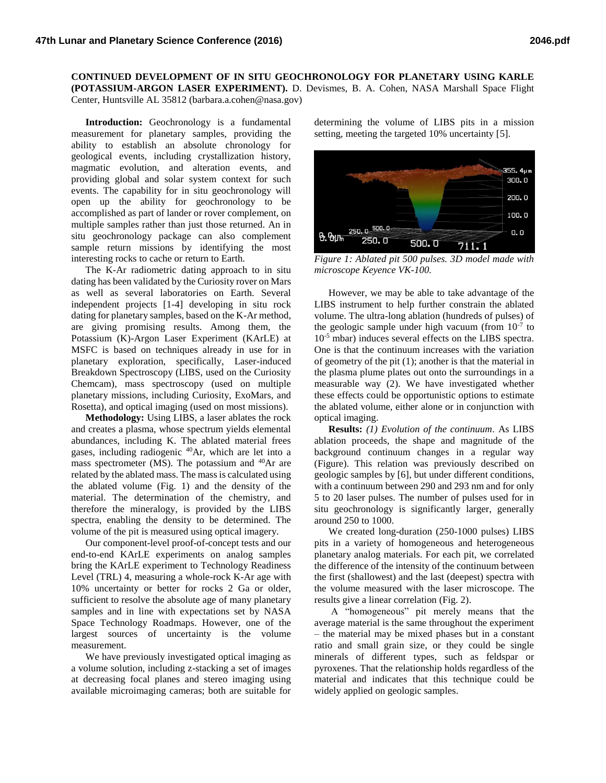**CONTINUED DEVELOPMENT OF IN SITU GEOCHRONOLOGY FOR PLANETARY USING KARLE (POTASSIUM-ARGON LASER EXPERIMENT).** D. Devismes, B. A. Cohen, NASA Marshall Space Flight Center, Huntsville AL 35812 (barbara.a.cohen@nasa.gov)

**Introduction:** Geochronology is a fundamental measurement for planetary samples, providing the ability to establish an absolute chronology for geological events, including crystallization history, magmatic evolution, and alteration events, and providing global and solar system context for such events. The capability for in situ geochronology will open up the ability for geochronology to be accomplished as part of lander or rover complement, on multiple samples rather than just those returned. An in situ geochronology package can also complement sample return missions by identifying the most interesting rocks to cache or return to Earth.

The K-Ar radiometric dating approach to in situ dating has been validated by the Curiosity rover on Mars as well as several laboratories on Earth. Several independent projects [1-4] developing in situ rock dating for planetary samples, based on the K-Ar method, are giving promising results. Among them, the Potassium (K)-Argon Laser Experiment (KArLE) at MSFC is based on techniques already in use for in planetary exploration, specifically, Laser-induced Breakdown Spectroscopy (LIBS, used on the Curiosity Chemcam), mass spectroscopy (used on multiple planetary missions, including Curiosity, ExoMars, and Rosetta), and optical imaging (used on most missions).

**Methodology:** Using LIBS, a laser ablates the rock and creates a plasma, whose spectrum yields elemental abundances, including K. The ablated material frees gases, including radiogenic <sup>40</sup>Ar, which are let into a mass spectrometer  $(MS)$ . The potassium and  $40Ar$  are related by the ablated mass. The mass is calculated using the ablated volume (Fig. 1) and the density of the material. The determination of the chemistry, and therefore the mineralogy, is provided by the LIBS spectra, enabling the density to be determined. The volume of the pit is measured using optical imagery.

Our component-level proof-of-concept tests and our end-to-end KArLE experiments on analog samples bring the KArLE experiment to Technology Readiness Level (TRL) 4, measuring a whole-rock K-Ar age with 10% uncertainty or better for rocks 2 Ga or older, sufficient to resolve the absolute age of many planetary samples and in line with expectations set by NASA Space Technology Roadmaps. However, one of the largest sources of uncertainty is the volume measurement.

We have previously investigated optical imaging as a volume solution, including z-stacking a set of images at decreasing focal planes and stereo imaging using available microimaging cameras; both are suitable for determining the volume of LIBS pits in a mission setting, meeting the targeted 10% uncertainty [5].



*Figure 1: Ablated pit 500 pulses. 3D model made with microscope Keyence VK-100.*

However, we may be able to take advantage of the LIBS instrument to help further constrain the ablated volume. The ultra-long ablation (hundreds of pulses) of the geologic sample under high vacuum (from  $10^{-7}$  to 10-5 mbar) induces several effects on the LIBS spectra. One is that the continuum increases with the variation of geometry of the pit (1); another is that the material in the plasma plume plates out onto the surroundings in a measurable way (2). We have investigated whether these effects could be opportunistic options to estimate the ablated volume, either alone or in conjunction with optical imaging.

**Results:** *(1) Evolution of the continuum*. As LIBS ablation proceeds, the shape and magnitude of the background continuum changes in a regular way (Figure). This relation was previously described on geologic samples by [6], but under different conditions, with a continuum between 290 and 293 nm and for only 5 to 20 laser pulses. The number of pulses used for in situ geochronology is significantly larger, generally around 250 to 1000.

We created long-duration (250-1000 pulses) LIBS pits in a variety of homogeneous and heterogeneous planetary analog materials. For each pit, we correlated the difference of the intensity of the continuum between the first (shallowest) and the last (deepest) spectra with the volume measured with the laser microscope. The results give a linear correlation (Fig. 2).

A "homogeneous" pit merely means that the average material is the same throughout the experiment – the material may be mixed phases but in a constant ratio and small grain size, or they could be single minerals of different types, such as feldspar or pyroxenes. That the relationship holds regardless of the material and indicates that this technique could be widely applied on geologic samples.